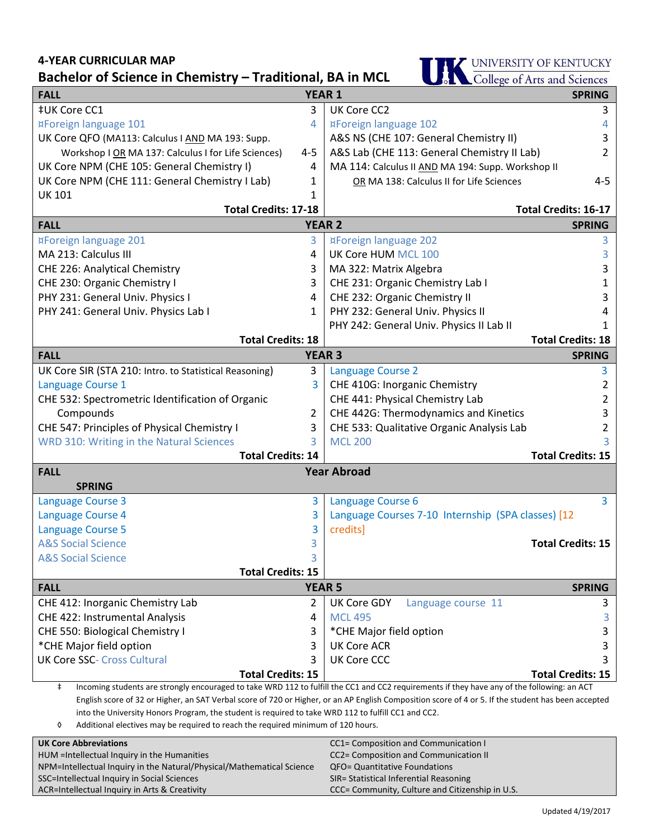## **4-YEAR CURRICULAR MAP**

**THE UNIVERSITY OF KENTUCKY**<br>College of Arts and Sciences

| Pachelor of Science in Chemistry<br>$\overline{\phantom{x}}$ Hauluvilai, DA III IVIUL<br><b>Soll Conege of Arts and Sciences</b><br><b>SPRING</b>         |                |                                                    |                          |
|-----------------------------------------------------------------------------------------------------------------------------------------------------------|----------------|----------------------------------------------------|--------------------------|
| <b>FALL</b><br><b>YEAR 1</b>                                                                                                                              |                |                                                    |                          |
| ‡UK Core CC1                                                                                                                                              | 3              | UK Core CC2                                        | 3                        |
| ¤Foreign language 101                                                                                                                                     | 4              | ¤Foreign language 102                              | 4                        |
| UK Core QFO (MA113: Calculus I AND MA 193: Supp.                                                                                                          |                | A&S NS (CHE 107: General Chemistry II)             | 3                        |
| Workshop I OR MA 137: Calculus I for Life Sciences)                                                                                                       | $4 - 5$        | A&S Lab (CHE 113: General Chemistry II Lab)        | 2                        |
| UK Core NPM (CHE 105: General Chemistry I)                                                                                                                | 4              | MA 114: Calculus II AND MA 194: Supp. Workshop II  |                          |
| UK Core NPM (CHE 111: General Chemistry I Lab)                                                                                                            | 1              | OR MA 138: Calculus II for Life Sciences           | $4 - 5$                  |
| <b>UK 101</b>                                                                                                                                             | 1              | <b>Total Credits: 16-17</b>                        |                          |
| <b>Total Credits: 17-18</b><br><b>YEAR 2</b>                                                                                                              |                |                                                    |                          |
| <b>FALL</b>                                                                                                                                               |                |                                                    | <b>SPRING</b>            |
| ¤Foreign language 201                                                                                                                                     | 3              | ¤Foreign language 202                              | 3                        |
| MA 213: Calculus III                                                                                                                                      | 4              | UK Core HUM MCL 100                                | 3                        |
| CHE 226: Analytical Chemistry                                                                                                                             | 3              | MA 322: Matrix Algebra                             | 3                        |
| CHE 230: Organic Chemistry I                                                                                                                              | 3              | CHE 231: Organic Chemistry Lab I                   | 1                        |
| PHY 231: General Univ. Physics I                                                                                                                          | 4              | CHE 232: Organic Chemistry II                      | 3                        |
| PHY 241: General Univ. Physics Lab I                                                                                                                      | 1              | PHY 232: General Univ. Physics II                  | 4                        |
|                                                                                                                                                           |                | PHY 242: General Univ. Physics II Lab II           | 1                        |
| <b>Total Credits: 18</b>                                                                                                                                  |                |                                                    | <b>Total Credits: 18</b> |
| <b>FALL</b>                                                                                                                                               | <b>YEAR 3</b>  |                                                    | <b>SPRING</b>            |
| UK Core SIR (STA 210: Intro. to Statistical Reasoning)                                                                                                    | 3              | <b>Language Course 2</b>                           | 3                        |
| Language Course 1                                                                                                                                         | 3              | CHE 410G: Inorganic Chemistry                      | 2                        |
| CHE 532: Spectrometric Identification of Organic                                                                                                          |                | CHE 441: Physical Chemistry Lab                    | 2                        |
| Compounds                                                                                                                                                 | $\overline{2}$ | CHE 442G: Thermodynamics and Kinetics              | 3                        |
| CHE 547: Principles of Physical Chemistry I                                                                                                               | 3              | CHE 533: Qualitative Organic Analysis Lab          | 2                        |
| WRD 310: Writing in the Natural Sciences                                                                                                                  | 3              | <b>MCL 200</b>                                     |                          |
| <b>Total Credits: 14</b>                                                                                                                                  |                |                                                    | <b>Total Credits: 15</b> |
| <b>Year Abroad</b><br><b>FALL</b>                                                                                                                         |                |                                                    |                          |
| <b>SPRING</b>                                                                                                                                             |                |                                                    |                          |
| <b>Language Course 3</b>                                                                                                                                  | 3              | Language Course 6                                  | 3                        |
| Language Course 4                                                                                                                                         | 3              | Language Courses 7-10 Internship (SPA classes) [12 |                          |
| <b>Language Course 5</b>                                                                                                                                  | 3              | credits]                                           |                          |
| <b>A&amp;S Social Science</b>                                                                                                                             | 3              |                                                    | <b>Total Credits: 15</b> |
| <b>A&amp;S Social Science</b>                                                                                                                             |                |                                                    |                          |
| <b>Total Credits: 15</b>                                                                                                                                  |                |                                                    |                          |
| <b>FALL</b>                                                                                                                                               | <b>YEAR 5</b>  |                                                    | <b>SPRING</b>            |
| CHE 412: Inorganic Chemistry Lab                                                                                                                          | 2              | UK Core GDY<br>Language course 11                  | 3                        |
| CHE 422: Instrumental Analysis                                                                                                                            | 4              | <b>MCL 495</b>                                     | 3                        |
| CHE 550: Biological Chemistry I                                                                                                                           | 3              | *CHE Major field option                            | 3                        |
| *CHE Major field option                                                                                                                                   | 3              | <b>UK Core ACR</b>                                 | 3                        |
| <b>UK Core SSC- Cross Cultural</b>                                                                                                                        | 3              | <b>UK Core CCC</b>                                 | 3                        |
| <b>Total Credits: 15</b>                                                                                                                                  |                |                                                    | <b>Total Credits: 15</b> |
| $\ddagger$<br>Incoming students are strongly encouraged to take WRD 112 to fulfill the CC1 and CC2 requirements if they have any of the following: an ACT |                |                                                    |                          |
| English score of 32 or Higher, an SAT Verbal score of 720 or Higher, or an AP English Composition score of 4 or 5. If the student has been accepted       |                |                                                    |                          |
| into the University Honors Program, the student is required to take WRD 112 to fulfill CC1 and CC2.                                                       |                |                                                    |                          |

◊ Additional electives may be required to reach the required minimum of 120 hours.

| <b>UK Core Abbreviations</b>                                          | CC1= Composition and Communication I            |
|-----------------------------------------------------------------------|-------------------------------------------------|
| HUM = Intellectual Inquiry in the Humanities                          | CC2= Composition and Communication II           |
| NPM=Intellectual Inquiry in the Natural/Physical/Mathematical Science | QFO= Quantitative Foundations                   |
| SSC=Intellectual Inquiry in Social Sciences                           | SIR= Statistical Inferential Reasoning          |
| ACR=Intellectual Inquiry in Arts & Creativity                         | CCC= Community, Culture and Citizenship in U.S. |